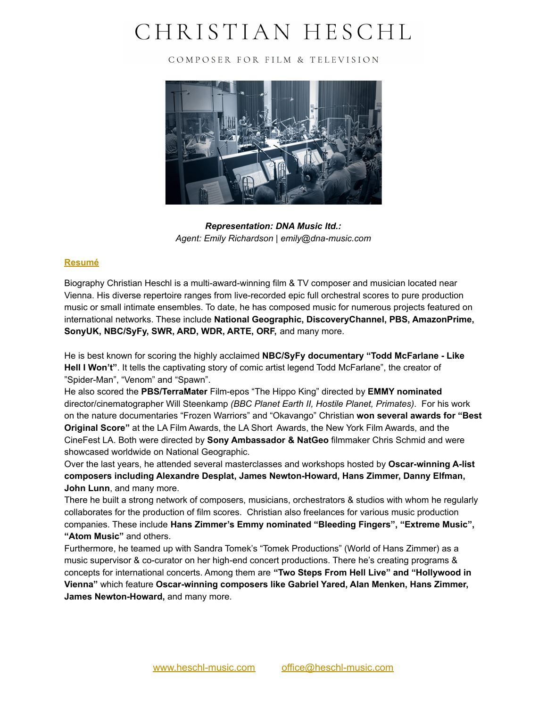# CHRISTIAN HESCHL

COMPOSER FOR FILM & TELEVISION



*Representation: DNA Music ltd.: Agent: Emily Richardson | emily@dna-music.com*

## **Resumé**

Biography Christian Heschl is a multi-award-winning film & TV composer and musician located near Vienna. His diverse repertoire ranges from live-recorded epic full orchestral scores to pure production music or small intimate ensembles. To date, he has composed music for numerous projects featured on international networks. These include **National Geographic, DiscoveryChannel, PBS, AmazonPrime, SonyUK, NBC/SyFy, SWR, ARD, WDR, ARTE, ORF,** and many more.

He is best known for scoring the highly acclaimed **NBC/SyFy documentary "Todd McFarlane - Like Hell I Won't"**. It tells the captivating story of comic artist legend Todd McFarlane", the creator of "Spider-Man", "Venom" and "Spawn".

He also scored the **PBS/TerraMater** Film-epos "The Hippo King" directed by **EMMY nominated** director/cinematographer Will Steenkamp *(BBC Planet Earth II, Hostile Planet, Primates)*. For his work on the nature documentaries "Frozen Warriors" and "Okavango" Christian **won several awards for "Best Original Score"** at the LA Film Awards, the LA Short Awards, the New York Film Awards, and the CineFest LA. Both were directed by **Sony Ambassador & NatGeo** filmmaker Chris Schmid and were showcased worldwide on National Geographic.

Over the last years, he attended several masterclasses and workshops hosted by **Oscar-winning A-list composers including Alexandre Desplat, James Newton-Howard, Hans Zimmer, Danny Elfman, John Lunn**, and many more.

There he built a strong network of composers, musicians, orchestrators & studios with whom he regularly collaborates for the production of film scores. Christian also freelances for various music production companies. These include **Hans Zimmer's Emmy nominated "Bleeding Fingers", "Extreme Music", "Atom Music"** and others.

Furthermore, he teamed up with Sandra Tomek's "Tomek Productions" (World of Hans Zimmer) as a music supervisor & co-curator on her high-end concert productions. There he's creating programs & concepts for international concerts. Among them are **"Two Steps From Hell Live" and "Hollywood in Vienna"** which feature **Oscar-winning composers like Gabriel Yared, Alan Menken, Hans Zimmer, James Newton-Howard,** and many more.